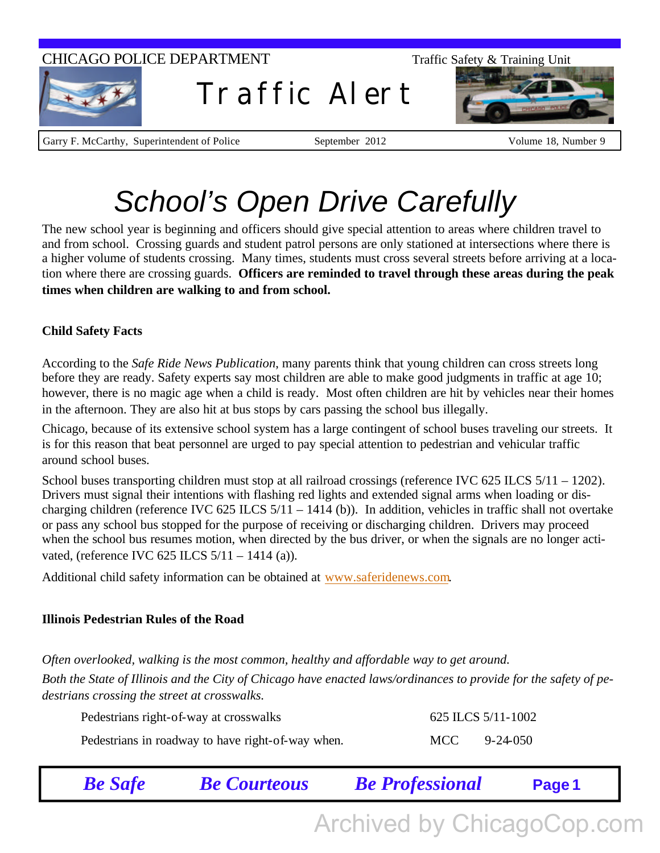### CHICAGO POLICE DEPARTMENT Traffic Safety & Training Unit



Traffic Alert



Garry F. McCarthy, Superintendent of Police September 2012 Volume 18, Number 9

# *School's Open Drive Carefully*

The new school year is beginning and officers should give special attention to areas where children travel to and from school. Crossing guards and student patrol persons are only stationed at intersections where there is a higher volume of students crossing. Many times, students must cross several streets before arriving at a location where there are crossing guards. **Officers are reminded to travel through these areas during the peak times when children are walking to and from school.**

#### **Child Safety Facts**

According to the *Safe Ride News Publication*, many parents think that young children can cross streets long before they are ready. Safety experts say most children are able to make good judgments in traffic at age 10; however, there is no magic age when a child is ready. Most often children are hit by vehicles near their homes in the afternoon. They are also hit at bus stops by cars passing the school bus illegally.

Chicago, because of its extensive school system has a large contingent of school buses traveling our streets. It is for this reason that beat personnel are urged to pay special attention to pedestrian and vehicular traffic around school buses.

School buses transporting children must stop at all railroad crossings (reference IVC 625 ILCS 5/11 – 1202). Drivers must signal their intentions with flashing red lights and extended signal arms when loading or discharging children (reference IVC 625 ILCS 5/11 – 1414 (b)). In addition, vehicles in traffic shall not overtake or pass any school bus stopped for the purpose of receiving or discharging children. Drivers may proceed when the school bus resumes motion, when directed by the bus driver, or when the signals are no longer activated, (reference IVC 625 ILCS 5/11 – 1414 (a)).

Additional child safety information can be obtained at www.saferidenews.com.

#### **Illinois Pedestrian Rules of the Road**

*Often overlooked, walking is the most common, healthy and affordable way to get around. Both the State of Illinois and the City of Chicago have enacted laws/ordinances to provide for the safety of pedestrians crossing the street at crosswalks.*

| Pedestrians right-of-way at crosswalks            |       | 625 ILCS 5/11-1002 |
|---------------------------------------------------|-------|--------------------|
| Pedestrians in roadway to have right-of-way when. | MCC — | 9-24-050           |

| <b>Be Safe</b> | <b>Be Courteous</b> | <b>Be Professional</b> | Page 1 |  |
|----------------|---------------------|------------------------|--------|--|
|                |                     |                        |        |  |

Archived by ChicagoCop.com